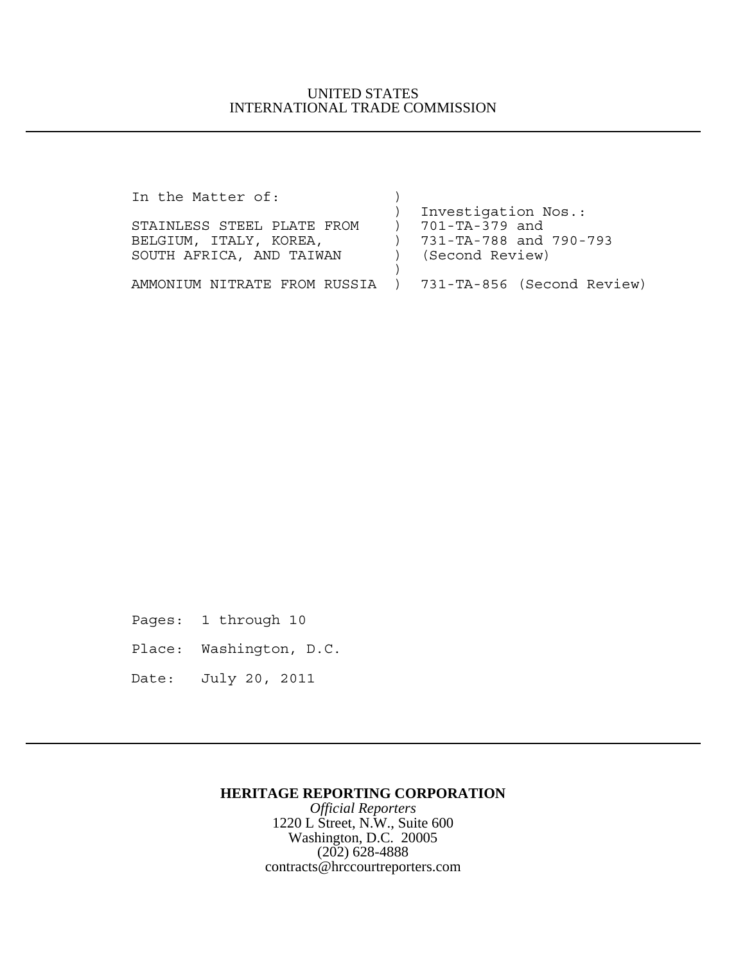## UNITED STATES INTERNATIONAL TRADE COMMISSION

| Investigation Nos.:                                       |
|-----------------------------------------------------------|
| 701-TA-379 and                                            |
| 731-TA-788 and 790-793                                    |
| (Second Review)                                           |
|                                                           |
| AMMONIUM NITRATE FROM RUSSIA ) 731-TA-856 (Second Review) |
|                                                           |

- Pages: 1 through 10
- Place: Washington, D.C.
- Date: July 20, 2011

### **HERITAGE REPORTING CORPORATION**

*Official Reporters* 1220 L Street, N.W., Suite 600 Washington, D.C. 20005 (202) 628-4888 contracts@hrccourtreporters.com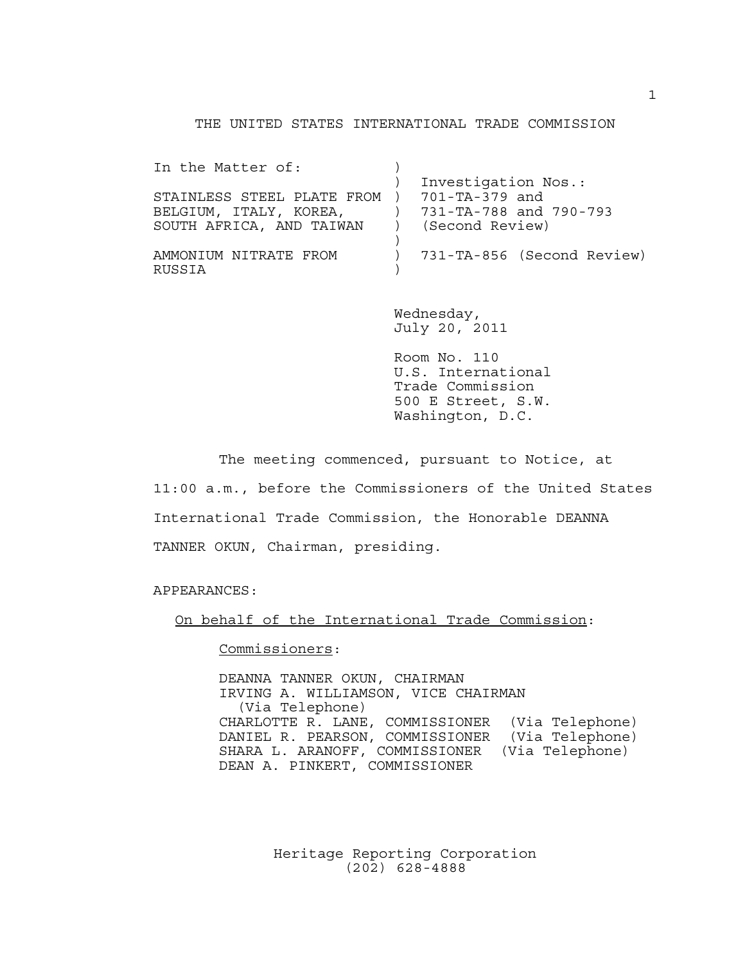#### THE UNITED STATES INTERNATIONAL TRADE COMMISSION

| In the Matter of:               |                            |
|---------------------------------|----------------------------|
|                                 | Investigation Nos.:        |
| STAINLESS STEEL PLATE FROM )    | 701-TA-379 and             |
| BELGIUM, ITALY, KOREA,          | 731-TA-788 and 790-793     |
| SOUTH AFRICA, AND TAIWAN        | (Second Review)            |
|                                 |                            |
| AMMONIUM NITRATE FROM<br>RUSSIA | 731-TA-856 (Second Review) |

Wednesday, July 20, 2011

Room No. 110 U.S. International Trade Commission 500 E Street, S.W. Washington, D.C.

The meeting commenced, pursuant to Notice, at 11:00 a.m., before the Commissioners of the United States International Trade Commission, the Honorable DEANNA TANNER OKUN, Chairman, presiding.

APPEARANCES:

On behalf of the International Trade Commission:

Commissioners:

DEANNA TANNER OKUN, CHAIRMAN IRVING A. WILLIAMSON, VICE CHAIRMAN (Via Telephone) CHARLOTTE R. LANE, COMMISSIONER (Via Telephone) DANIEL R. PEARSON, COMMISSIONER (Via Telephone) SHARA L. ARANOFF, COMMISSIONER (Via Telephone) DEAN A. PINKERT, COMMISSIONER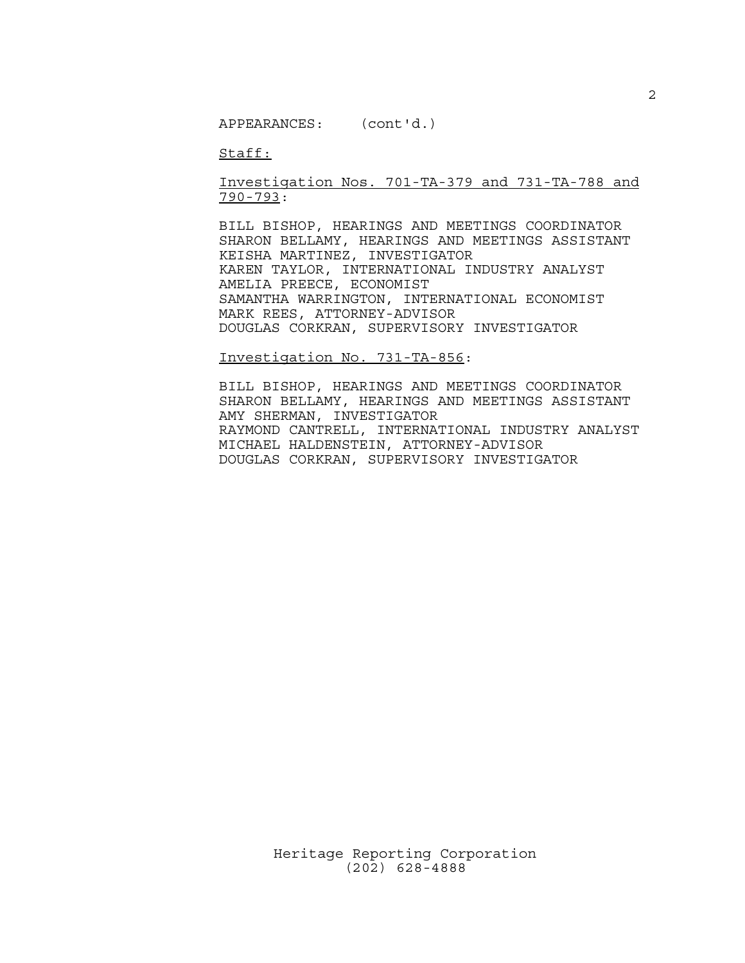Staff:

Investigation Nos. 701-TA-379 and 731-TA-788 and 790-793:

BILL BISHOP, HEARINGS AND MEETINGS COORDINATOR SHARON BELLAMY, HEARINGS AND MEETINGS ASSISTANT KEISHA MARTINEZ, INVESTIGATOR KAREN TAYLOR, INTERNATIONAL INDUSTRY ANALYST AMELIA PREECE, ECONOMIST SAMANTHA WARRINGTON, INTERNATIONAL ECONOMIST MARK REES, ATTORNEY-ADVISOR DOUGLAS CORKRAN, SUPERVISORY INVESTIGATOR

Investigation No. 731-TA-856:

BILL BISHOP, HEARINGS AND MEETINGS COORDINATOR SHARON BELLAMY, HEARINGS AND MEETINGS ASSISTANT AMY SHERMAN, INVESTIGATOR RAYMOND CANTRELL, INTERNATIONAL INDUSTRY ANALYST MICHAEL HALDENSTEIN, ATTORNEY-ADVISOR DOUGLAS CORKRAN, SUPERVISORY INVESTIGATOR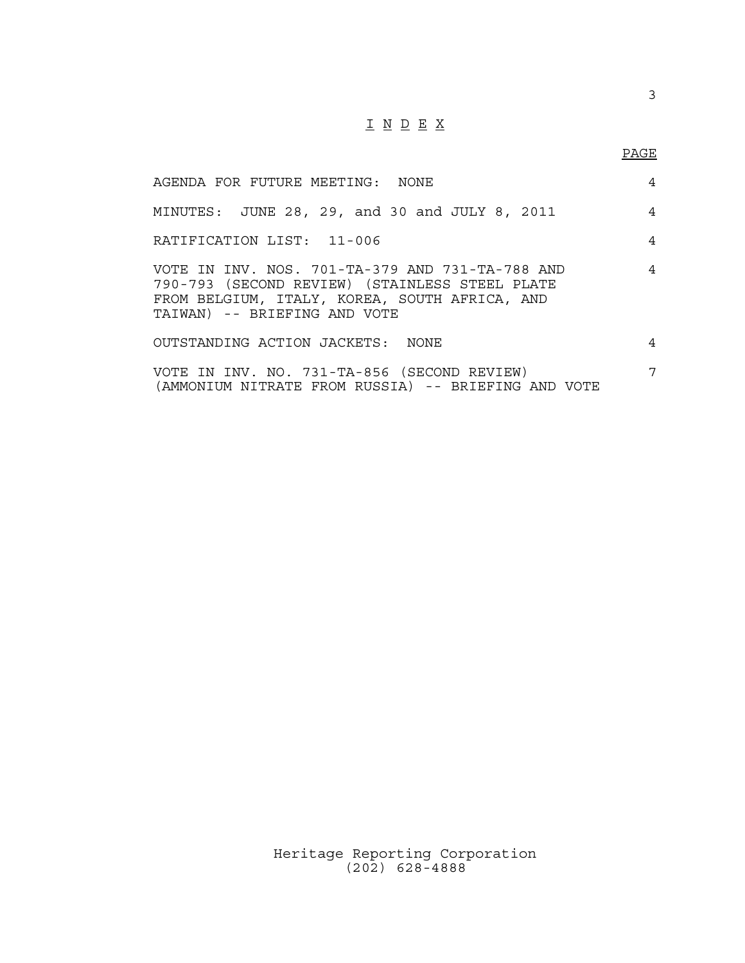# I N D E X

| AGENDA FOR FUTURE MEETING: NONE                                                                                                                                                    | 4 |
|------------------------------------------------------------------------------------------------------------------------------------------------------------------------------------|---|
| MINUTES: JUNE 28, 29, and 30 and JULY 8, 2011                                                                                                                                      | 4 |
| RATIFICATION LIST: 11-006                                                                                                                                                          | 4 |
| VOTE IN INV. NOS. 701-TA-379 AND 731-TA-788 AND<br>790-793 (SECOND REVIEW) (STAINLESS STEEL PLATE<br>FROM BELGIUM, ITALY, KOREA, SOUTH AFRICA, AND<br>TAIWAN) -- BRIEFING AND VOTE | 4 |
| OUTSTANDING ACTION JACKETS: NONE                                                                                                                                                   | 4 |
| VOTE IN INV. NO. 731-TA-856 (SECOND REVIEW)<br>(AMMONIUM NITRATE FROM RUSSIA) -- BRIEFING AND VOTE                                                                                 | 7 |

Heritage Reporting Corporation (202) 628-4888

3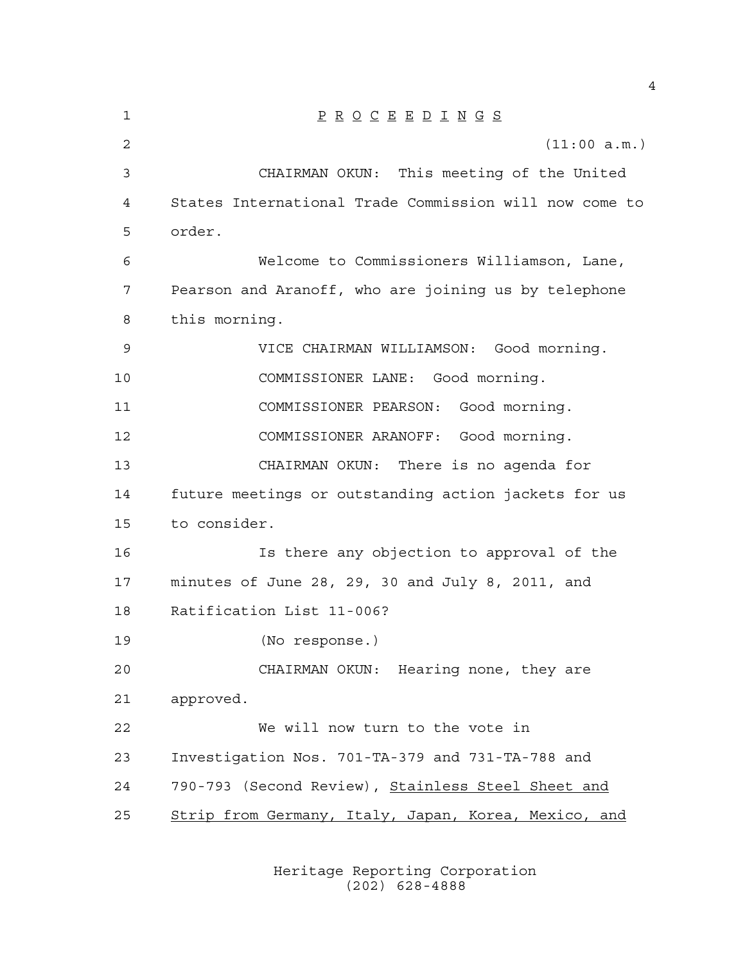| $\mathbf{1}$   | $\underline{P} \underline{R} \underline{O} \underline{C} \underline{E} \underline{E} \underline{D} \underline{I} \underline{N} \underline{G} \underline{S}$ |
|----------------|-------------------------------------------------------------------------------------------------------------------------------------------------------------|
| $\overline{2}$ | (11:00 a.m.)                                                                                                                                                |
| 3              | CHAIRMAN OKUN: This meeting of the United                                                                                                                   |
| 4              | States International Trade Commission will now come to                                                                                                      |
| 5              | order.                                                                                                                                                      |
| 6              | Welcome to Commissioners Williamson, Lane,                                                                                                                  |
| 7              | Pearson and Aranoff, who are joining us by telephone                                                                                                        |
| 8              | this morning.                                                                                                                                               |
| 9              | VICE CHAIRMAN WILLIAMSON: Good morning.                                                                                                                     |
| 10             | COMMISSIONER LANE: Good morning.                                                                                                                            |
| 11             | COMMISSIONER PEARSON:<br>Good morning.                                                                                                                      |
| 12             | COMMISSIONER ARANOFF: Good morning.                                                                                                                         |
| 13             | CHAIRMAN OKUN: There is no agenda for                                                                                                                       |
| 14             | future meetings or outstanding action jackets for us                                                                                                        |
| 15             | to consider.                                                                                                                                                |
| 16             | Is there any objection to approval of the                                                                                                                   |
| 17             | minutes of June 28, 29, 30 and July 8, 2011, and                                                                                                            |
| 18             | Ratification List 11-006?                                                                                                                                   |
| 19             | (No response.)                                                                                                                                              |
| 20             | CHAIRMAN OKUN: Hearing none, they are                                                                                                                       |
| 21             | approved.                                                                                                                                                   |
| 22             | We will now turn to the vote in                                                                                                                             |
| 23             | Investigation Nos. 701-TA-379 and 731-TA-788 and                                                                                                            |
| 24             | 790-793 (Second Review), Stainless Steel Sheet and                                                                                                          |
| 25             | Strip from Germany, Italy, Japan, Korea, Mexico, and                                                                                                        |
|                |                                                                                                                                                             |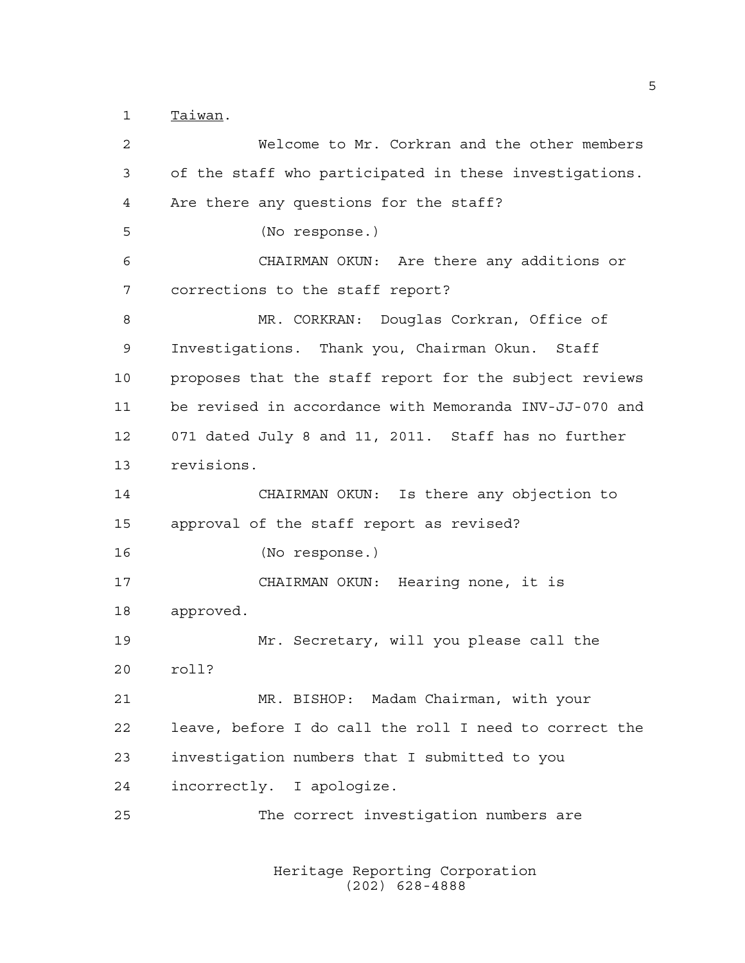Taiwan.

 Welcome to Mr. Corkran and the other members of the staff who participated in these investigations. Are there any questions for the staff? (No response.) CHAIRMAN OKUN: Are there any additions or corrections to the staff report? MR. CORKRAN: Douglas Corkran, Office of Investigations. Thank you, Chairman Okun. Staff proposes that the staff report for the subject reviews be revised in accordance with Memoranda INV-JJ-070 and 071 dated July 8 and 11, 2011. Staff has no further revisions. CHAIRMAN OKUN: Is there any objection to approval of the staff report as revised? (No response.) CHAIRMAN OKUN: Hearing none, it is approved. Mr. Secretary, will you please call the roll? MR. BISHOP: Madam Chairman, with your leave, before I do call the roll I need to correct the investigation numbers that I submitted to you incorrectly. I apologize. The correct investigation numbers are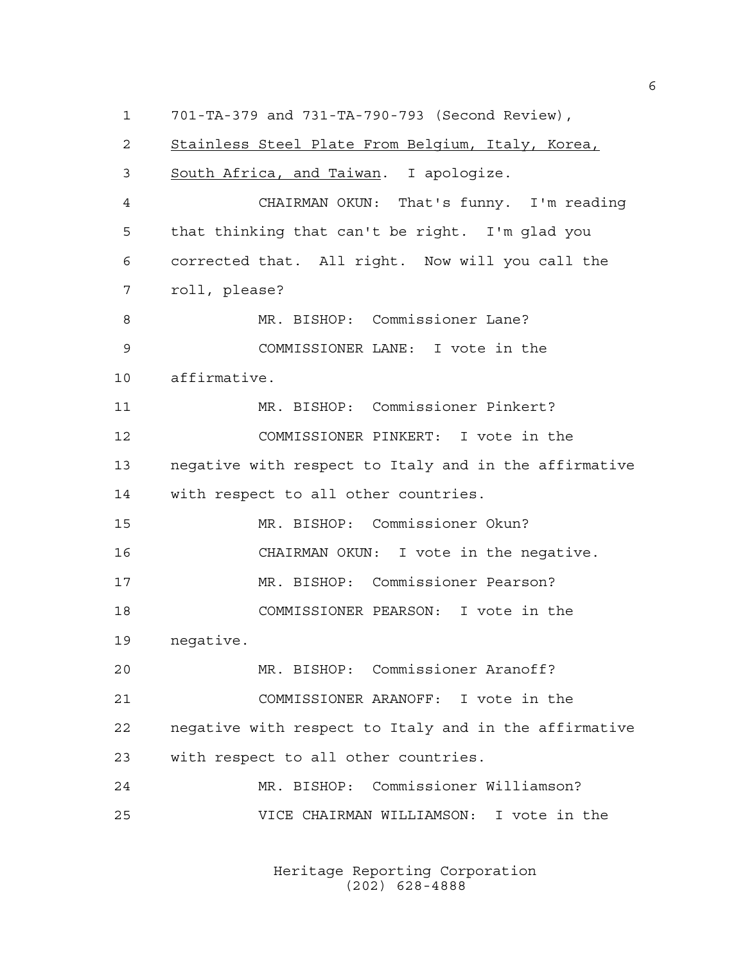701-TA-379 and 731-TA-790-793 (Second Review), Stainless Steel Plate From Belgium, Italy, Korea, South Africa, and Taiwan. I apologize. CHAIRMAN OKUN: That's funny. I'm reading that thinking that can't be right. I'm glad you corrected that. All right. Now will you call the roll, please? MR. BISHOP: Commissioner Lane? COMMISSIONER LANE: I vote in the affirmative. MR. BISHOP: Commissioner Pinkert? COMMISSIONER PINKERT: I vote in the negative with respect to Italy and in the affirmative with respect to all other countries. MR. BISHOP: Commissioner Okun? CHAIRMAN OKUN: I vote in the negative. MR. BISHOP: Commissioner Pearson? COMMISSIONER PEARSON: I vote in the negative. MR. BISHOP: Commissioner Aranoff? COMMISSIONER ARANOFF: I vote in the negative with respect to Italy and in the affirmative with respect to all other countries. MR. BISHOP: Commissioner Williamson? VICE CHAIRMAN WILLIAMSON: I vote in the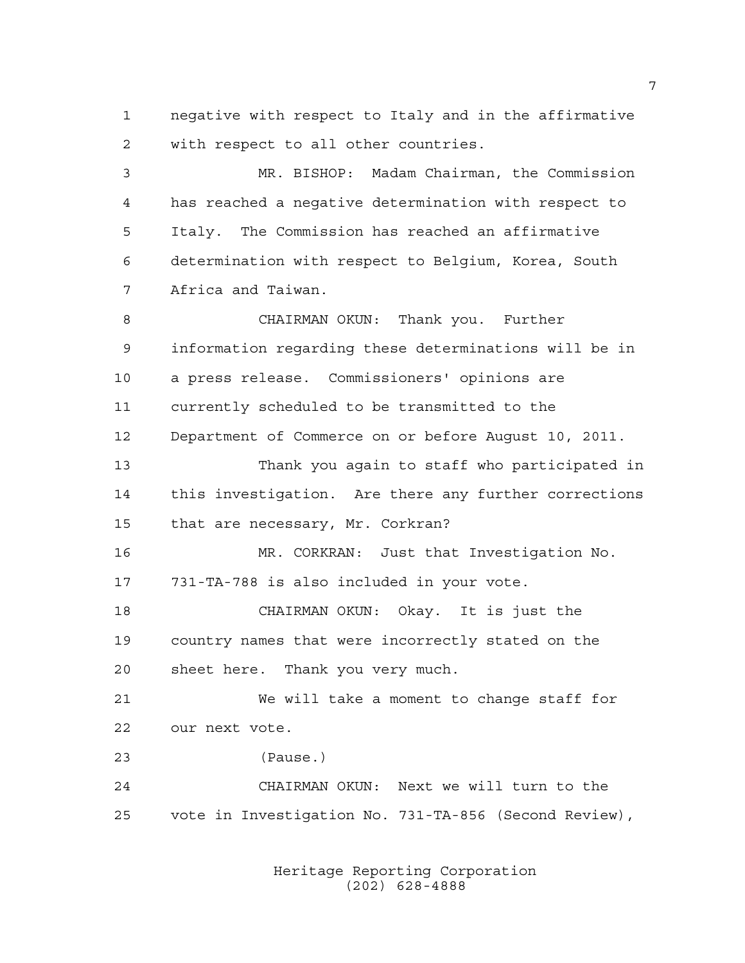negative with respect to Italy and in the affirmative with respect to all other countries.

 MR. BISHOP: Madam Chairman, the Commission has reached a negative determination with respect to Italy. The Commission has reached an affirmative determination with respect to Belgium, Korea, South Africa and Taiwan.

 CHAIRMAN OKUN: Thank you. Further information regarding these determinations will be in a press release. Commissioners' opinions are currently scheduled to be transmitted to the Department of Commerce on or before August 10, 2011.

 Thank you again to staff who participated in this investigation. Are there any further corrections that are necessary, Mr. Corkran?

 MR. CORKRAN: Just that Investigation No. 731-TA-788 is also included in your vote.

 CHAIRMAN OKUN: Okay. It is just the country names that were incorrectly stated on the sheet here. Thank you very much.

 We will take a moment to change staff for our next vote.

(Pause.)

 CHAIRMAN OKUN: Next we will turn to the vote in Investigation No. 731-TA-856 (Second Review),

> Heritage Reporting Corporation (202) 628-4888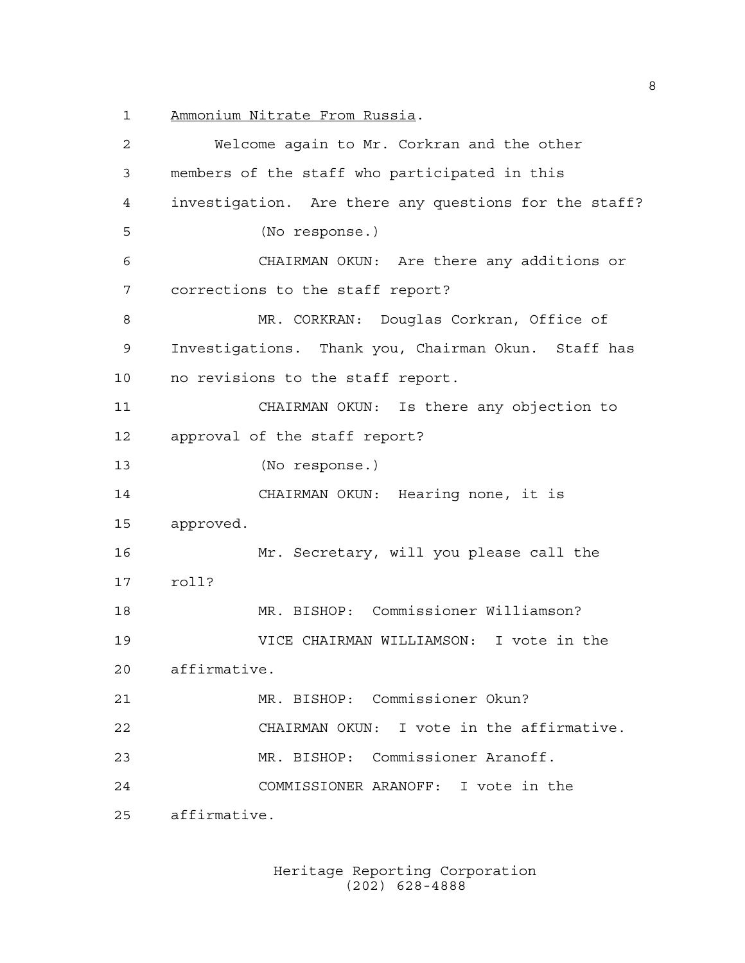Ammonium Nitrate From Russia.

 Welcome again to Mr. Corkran and the other members of the staff who participated in this investigation. Are there any questions for the staff? (No response.) CHAIRMAN OKUN: Are there any additions or corrections to the staff report? MR. CORKRAN: Douglas Corkran, Office of Investigations. Thank you, Chairman Okun. Staff has no revisions to the staff report. CHAIRMAN OKUN: Is there any objection to approval of the staff report? (No response.) CHAIRMAN OKUN: Hearing none, it is approved. Mr. Secretary, will you please call the roll? MR. BISHOP: Commissioner Williamson? VICE CHAIRMAN WILLIAMSON: I vote in the affirmative. MR. BISHOP: Commissioner Okun? CHAIRMAN OKUN: I vote in the affirmative. MR. BISHOP: Commissioner Aranoff. COMMISSIONER ARANOFF: I vote in the affirmative.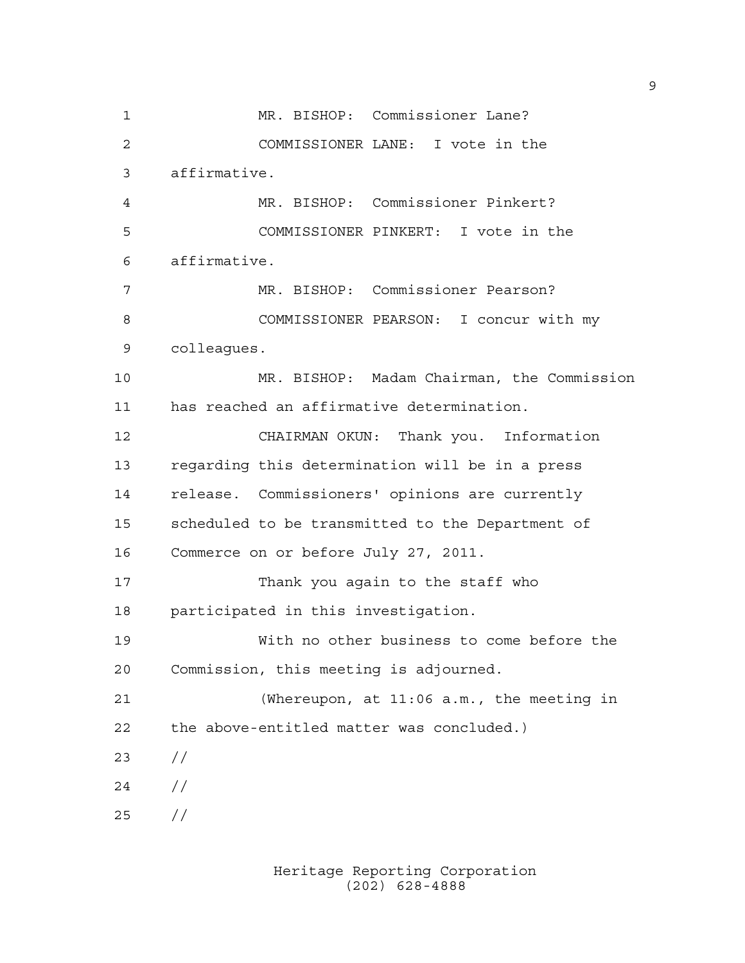MR. BISHOP: Commissioner Lane? COMMISSIONER LANE: I vote in the affirmative. MR. BISHOP: Commissioner Pinkert? COMMISSIONER PINKERT: I vote in the affirmative. MR. BISHOP: Commissioner Pearson? COMMISSIONER PEARSON: I concur with my colleagues. MR. BISHOP: Madam Chairman, the Commission has reached an affirmative determination. CHAIRMAN OKUN: Thank you. Information regarding this determination will be in a press release. Commissioners' opinions are currently scheduled to be transmitted to the Department of Commerce on or before July 27, 2011. Thank you again to the staff who participated in this investigation. With no other business to come before the Commission, this meeting is adjourned. (Whereupon, at 11:06 a.m., the meeting in the above-entitled matter was concluded.) // // //

> Heritage Reporting Corporation (202) 628-4888